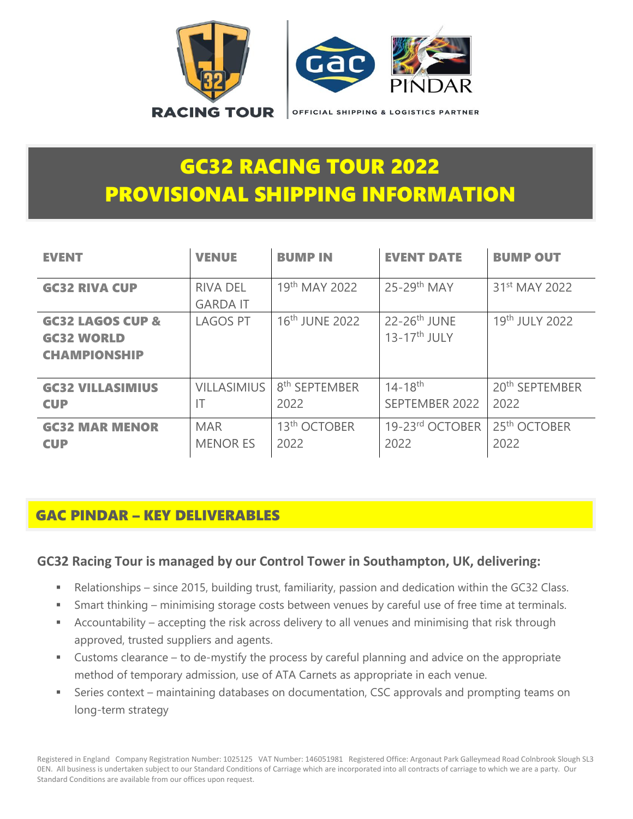

# GC32 RACING TOUR 2022 PROVISIONAL SHIPPING INFORMATION

| <b>EVENT</b>                                                            | <b>VENUE</b>                       | <b>BUMP IN</b>                    | <b>EVENT DATE</b>                            | <b>BUMP OUT</b>                    |
|-------------------------------------------------------------------------|------------------------------------|-----------------------------------|----------------------------------------------|------------------------------------|
| <b>GC32 RIVA CUP</b>                                                    | <b>RIVA DEL</b><br><b>GARDA IT</b> | 19th MAY 2022                     | $25-29$ <sup>th</sup> MAY                    | 31 <sup>st</sup> MAY 2022          |
| <b>GC32 LAGOS CUP &amp;</b><br><b>GC32 WORLD</b><br><b>CHAMPIONSHIP</b> | <b>LAGOS PT</b>                    | 16 <sup>th</sup> JUNE 2022        | $22-26$ <sup>th</sup> JUNE<br>$13-17th$ JULY | 19th JULY 2022                     |
| <b>GC32 VILLASIMIUS</b><br><b>CUP</b>                                   | <b>VILLASIMIUS</b><br>IT           | 8 <sup>th</sup> SEPTEMBER<br>2022 | $14 - 18$ <sup>th</sup><br>SEPTEMBER 2022    | 20 <sup>th</sup> SEPTEMBER<br>2022 |
| <b>GC32 MAR MENOR</b><br><b>CUP</b>                                     | <b>MAR</b><br><b>MENOR ES</b>      | 13 <sup>th</sup> OCTOBER<br>2022  | 19-23rd OCTOBER<br>2022                      | 25 <sup>th</sup> OCTOBER<br>2022   |

## GAC PINDAR – KEY DELIVERABLES

#### **GC32 Racing Tour is managed by our Control Tower in Southampton, UK, delivering:**

- Relationships since 2015, building trust, familiarity, passion and dedication within the GC32 Class.
- Smart thinking minimising storage costs between venues by careful use of free time at terminals.
- Accountability accepting the risk across delivery to all venues and minimising that risk through approved, trusted suppliers and agents.
- Customs clearance to de-mystify the process by careful planning and advice on the appropriate method of temporary admission, use of ATA Carnets as appropriate in each venue.
- Series context maintaining databases on documentation, CSC approvals and prompting teams on long-term strategy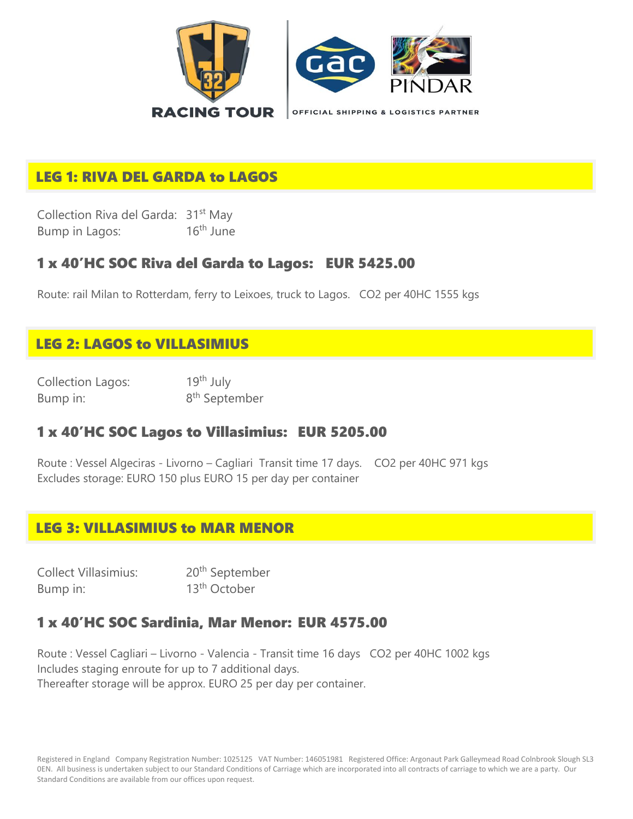

# LEG 1: RIVA DEL GARDA to LAGOS

Collection Riva del Garda: 31<sup>st</sup> May Bump in Lagos: 16<sup>th</sup> June

#### 1 x 40'HC SOC Riva del Garda to Lagos: EUR 5425.00

Route: rail Milan to Rotterdam, ferry to Leixoes, truck to Lagos. CO2 per 40HC 1555 kgs

## LEG 2: LAGOS to VILLASIMIUS

Collection Lagos: 19th July Bump in:

8<sup>th</sup> September

#### 1 x 40'HC SOC Lagos to Villasimius: EUR 5205.00

Route : Vessel Algeciras - Livorno – Cagliari Transit time 17 days. CO2 per 40HC 971 kgs Excludes storage: EURO 150 plus EURO 15 per day per container

#### LEG 3: VILLASIMIUS to MAR MENOR

| <b>Collect Villasimius:</b> | 20 <sup>th</sup> September |
|-----------------------------|----------------------------|
| Bump in:                    | 13 <sup>th</sup> October   |

### 1 x 40'HC SOC Sardinia, Mar Menor: EUR 4575.00

Route : Vessel Cagliari – Livorno - Valencia - Transit time 16 days CO2 per 40HC 1002 kgs Includes staging enroute for up to 7 additional days. Thereafter storage will be approx. EURO 25 per day per container.